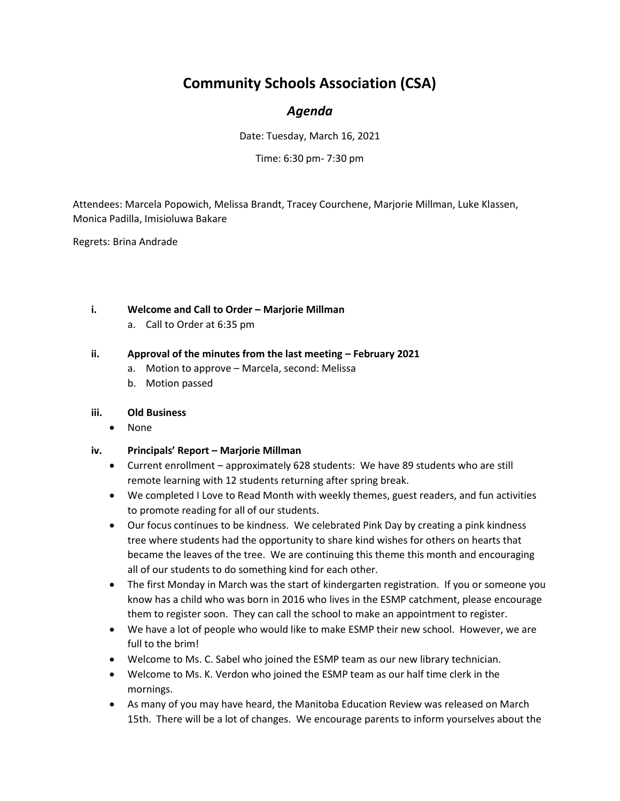# **Community Schools Association (CSA)**

# *Agenda*

Date: Tuesday, March 16, 2021

Time: 6:30 pm- 7:30 pm

Attendees: Marcela Popowich, Melissa Brandt, Tracey Courchene, Marjorie Millman, Luke Klassen, Monica Padilla, Imisioluwa Bakare

Regrets: Brina Andrade

# **i. Welcome and Call to Order – Marjorie Millman**

a. Call to Order at 6:35 pm

# **ii.** Approval of the minutes from the last meeting – February 2021

- a. Motion to approve Marcela, second: Melissa
- b. Motion passed

# **iii. Old Business**

• None

# **iv. Principals' Report – Marjorie Millman**

- Current enrollment approximately 628 students: We have 89 students who are still remote learning with 12 students returning after spring break.
- We completed I Love to Read Month with weekly themes, guest readers, and fun activities to promote reading for all of our students.
- Our focus continues to be kindness. We celebrated Pink Day by creating a pink kindness tree where students had the opportunity to share kind wishes for others on hearts that became the leaves of the tree. We are continuing this theme this month and encouraging all of our students to do something kind for each other.
- The first Monday in March was the start of kindergarten registration. If you or someone you know has a child who was born in 2016 who lives in the ESMP catchment, please encourage them to register soon. They can call the school to make an appointment to register.
- We have a lot of people who would like to make ESMP their new school. However, we are full to the brim!
- Welcome to Ms. C. Sabel who joined the ESMP team as our new library technician.
- Welcome to Ms. K. Verdon who joined the ESMP team as our half time clerk in the mornings.
- As many of you may have heard, the Manitoba Education Review was released on March 15th. There will be a lot of changes. We encourage parents to inform yourselves about the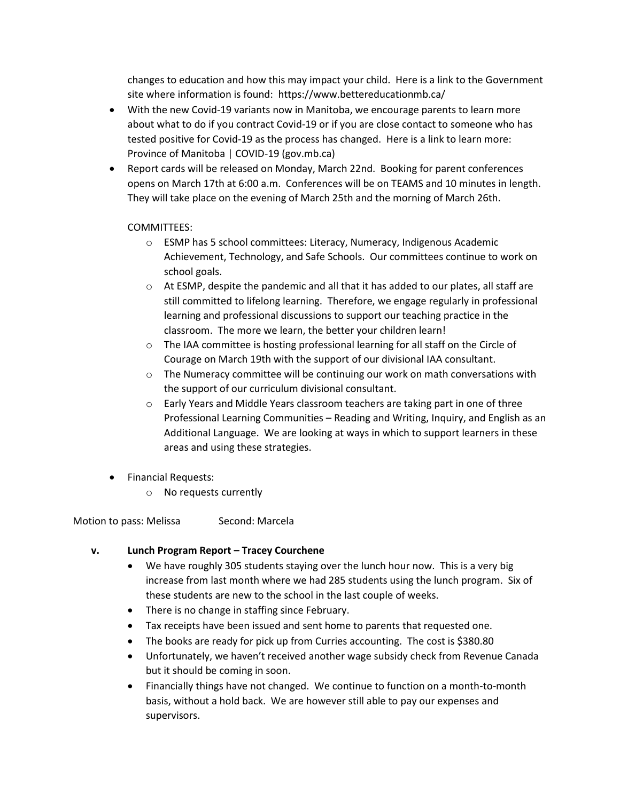changes to education and how this may impact your child. Here is a link to the Government site where information is found: https://www.bettereducationmb.ca/

- With the new Covid-19 variants now in Manitoba, we encourage parents to learn more about what to do if you contract Covid-19 or if you are close contact to someone who has tested positive for Covid-19 as the process has changed. Here is a link to learn more: Province of Manitoba | COVID-19 (gov.mb.ca)
- Report cards will be released on Monday, March 22nd. Booking for parent conferences opens on March 17th at 6:00 a.m. Conferences will be on TEAMS and 10 minutes in length. They will take place on the evening of March 25th and the morning of March 26th.

# COMMITTEES:

- o ESMP has 5 school committees: Literacy, Numeracy, Indigenous Academic Achievement, Technology, and Safe Schools. Our committees continue to work on school goals.
- $\circ$  At ESMP, despite the pandemic and all that it has added to our plates, all staff are still committed to lifelong learning. Therefore, we engage regularly in professional learning and professional discussions to support our teaching practice in the classroom. The more we learn, the better your children learn!
- o The IAA committee is hosting professional learning for all staff on the Circle of Courage on March 19th with the support of our divisional IAA consultant.
- $\circ$  The Numeracy committee will be continuing our work on math conversations with the support of our curriculum divisional consultant.
- $\circ$  Early Years and Middle Years classroom teachers are taking part in one of three Professional Learning Communities – Reading and Writing, Inquiry, and English as an Additional Language. We are looking at ways in which to support learners in these areas and using these strategies.
- Financial Requests:
	- o No requests currently

Motion to pass: Melissa Second: Marcela

# **v. Lunch Program Report – Tracey Courchene**

- We have roughly 305 students staying over the lunch hour now. This is a very big increase from last month where we had 285 students using the lunch program. Six of these students are new to the school in the last couple of weeks.
- There is no change in staffing since February.
- Tax receipts have been issued and sent home to parents that requested one.
- The books are ready for pick up from Curries accounting. The cost is \$380.80
- Unfortunately, we haven't received another wage subsidy check from Revenue Canada but it should be coming in soon.
- Financially things have not changed. We continue to function on a month-to-month basis, without a hold back. We are however still able to pay our expenses and supervisors.